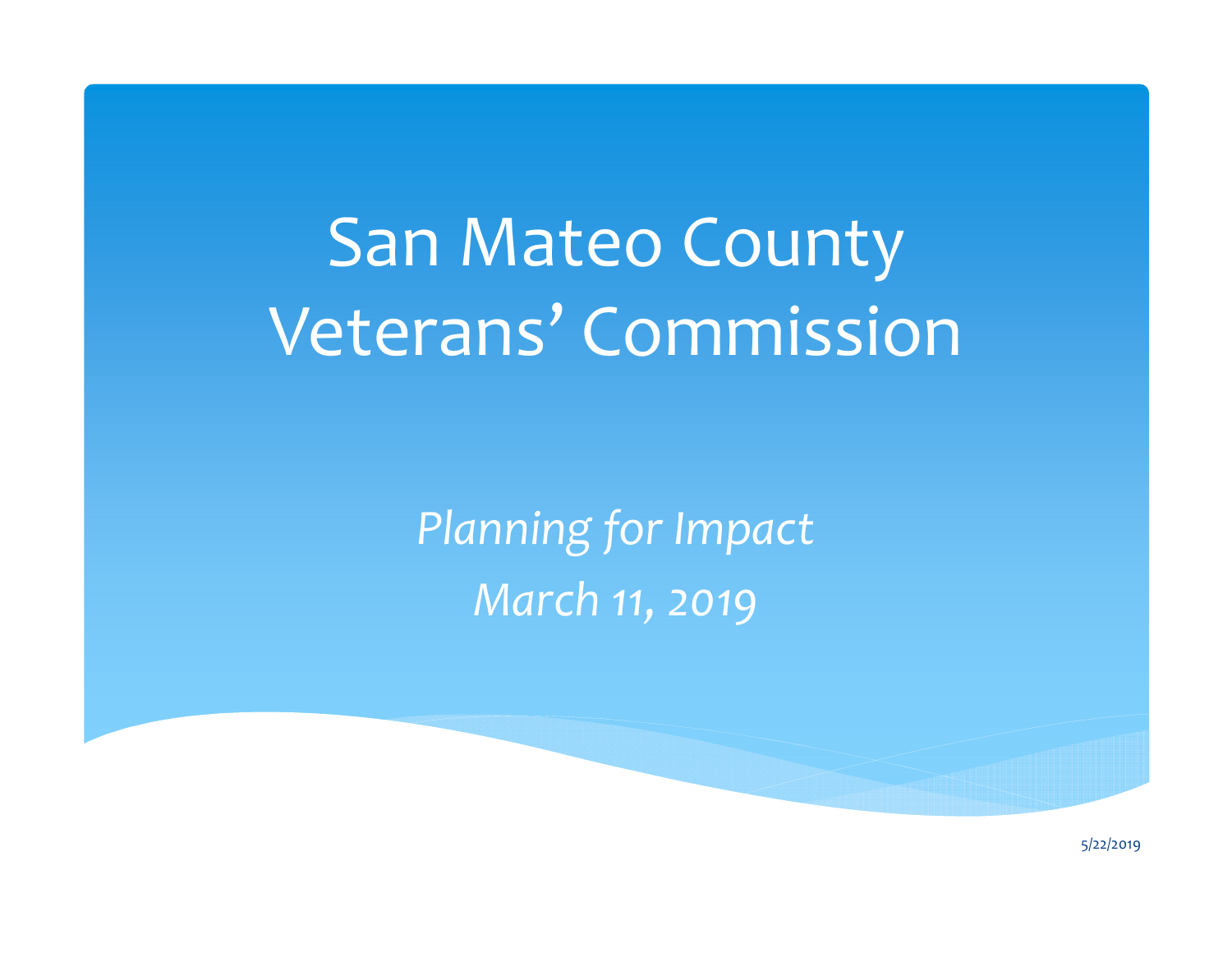# San Mateo County Veterans' Commission

*Planning for Impact March 11, 2019*

5/22/2019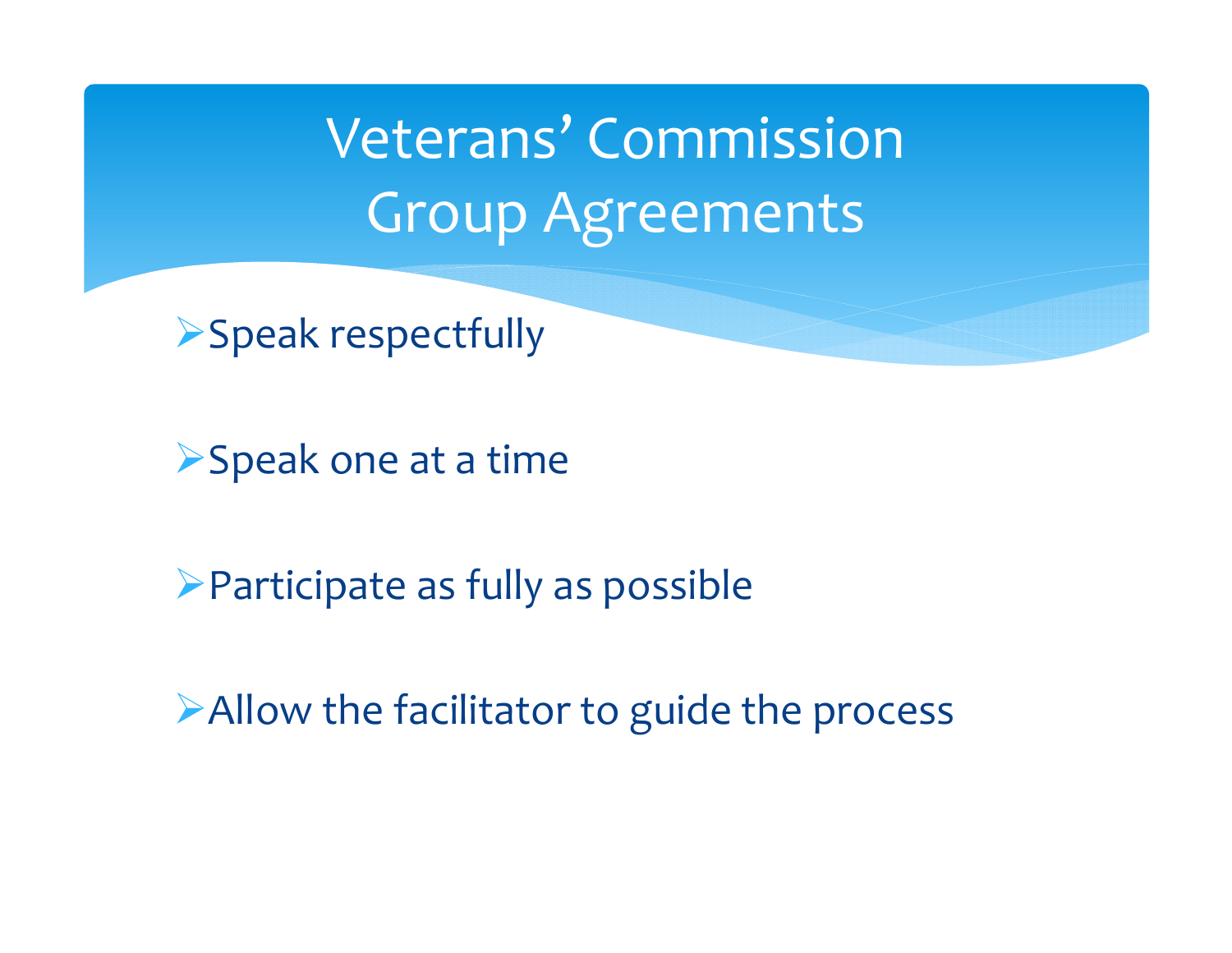Veterans' Commission Group Agreements

Speak respectfully

Speak one at <sup>a</sup> time

Participate as fully as possible

Allow the facilitator to guide the process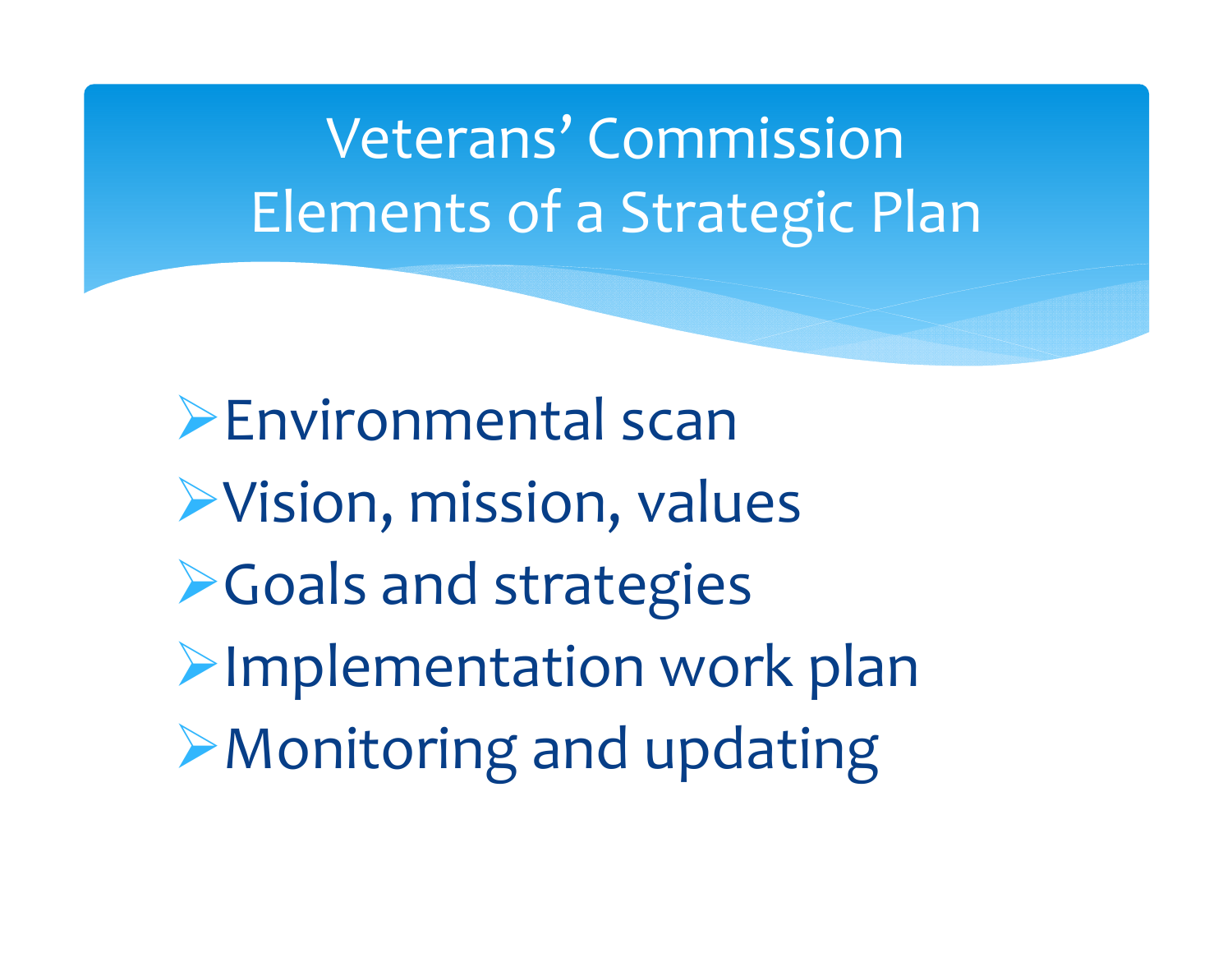## Veterans' Commission Elements of <sup>a</sup> Strategic Plan

Environmental scan Vision, mission, values **Example 2 Figure 2 Fouriers** Implementation work plan Monitoring and updating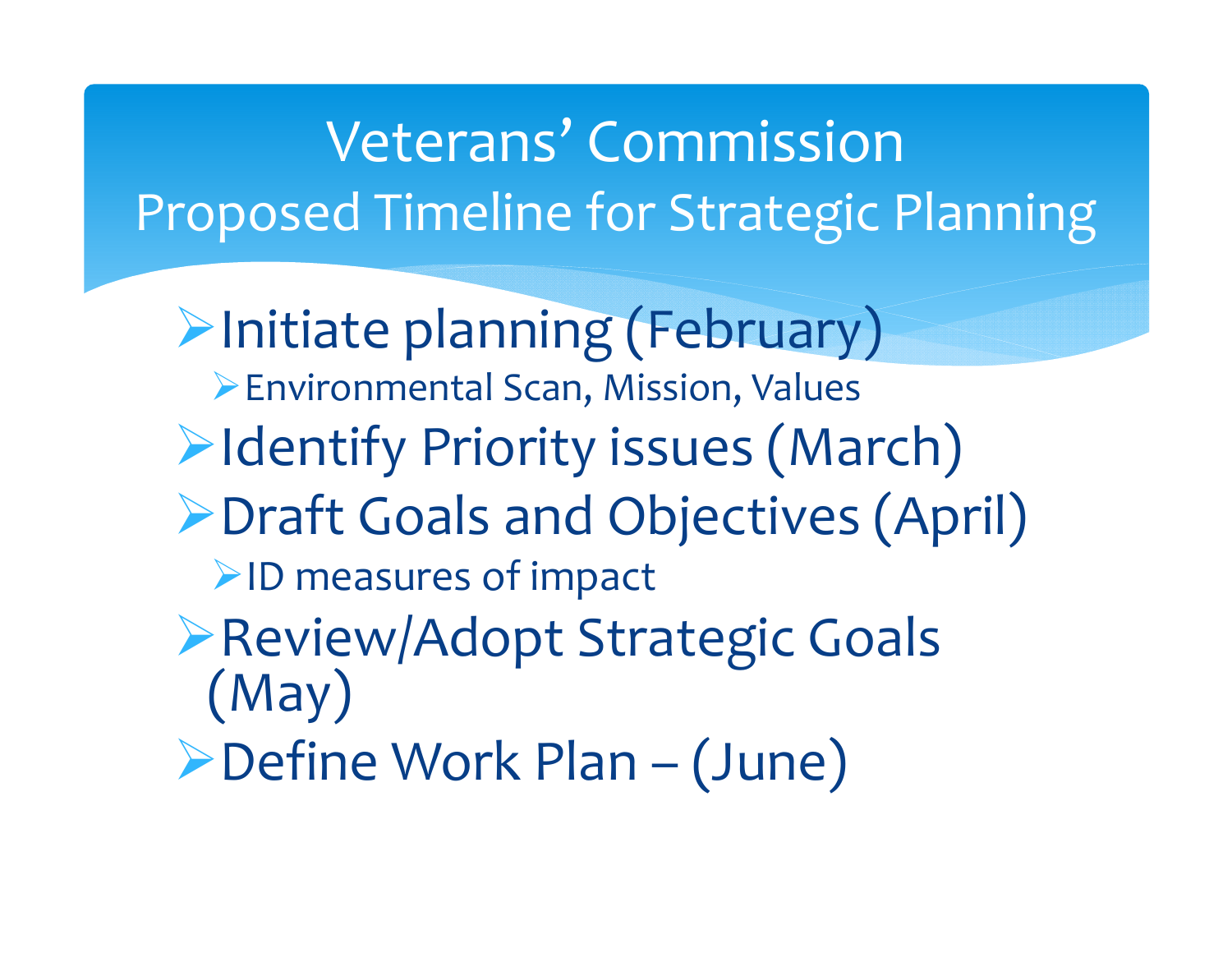## Veterans' Commission Proposed Timeline for Strategic Planning

Initiate planning (February) Environmental Scan, Mission, Values **Example 1 Fighter Priority issues (March)** Draft Goals and Objectives (April) ID measures of impact Review/Adopt Strategic Goals (May) Define Work Plan – (June)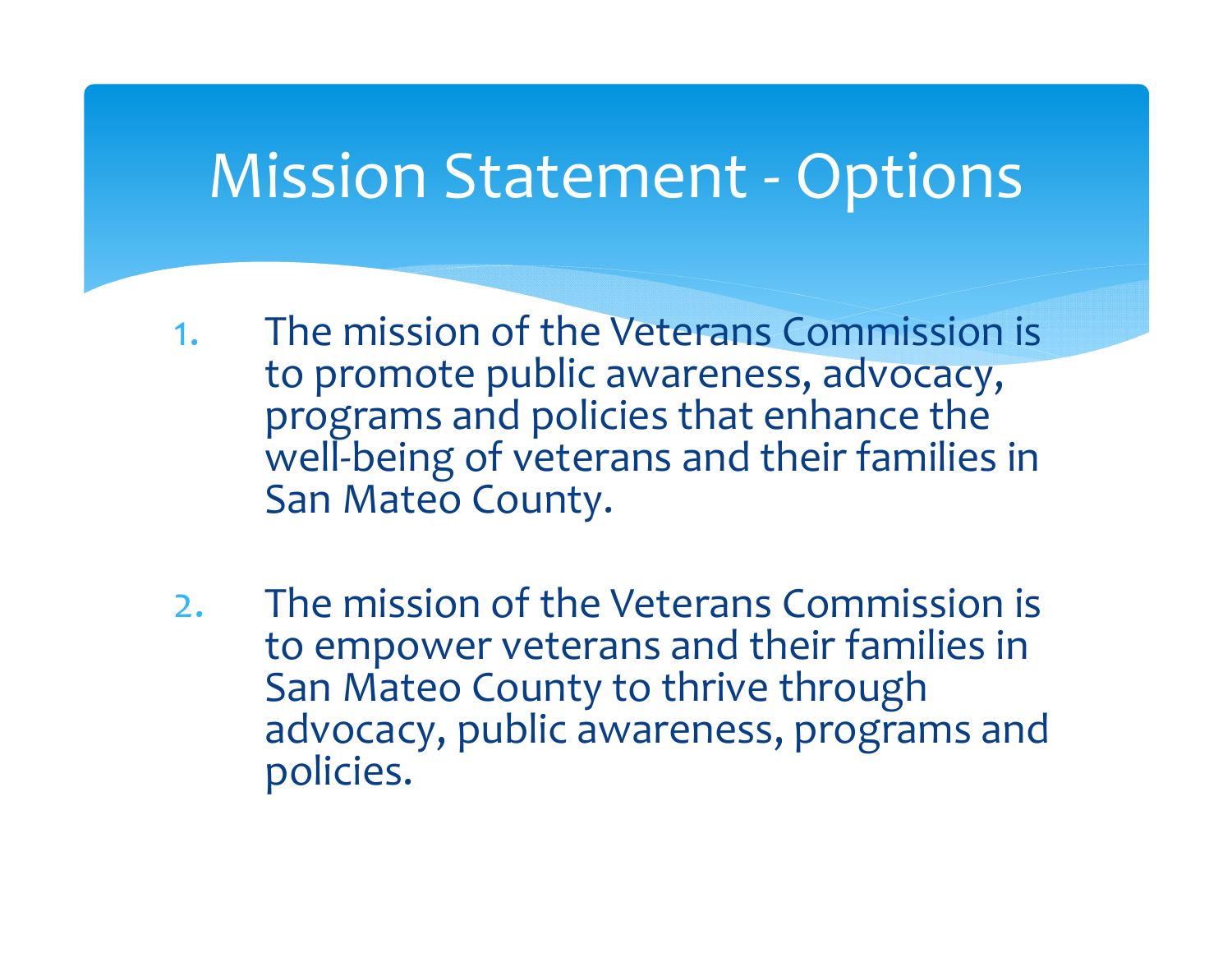### Mission Statement ‐ Options

- 1. The mission of the Veterans Commission is to promote public awareness, advocacy, programs and policies that enhance the well-being of veterans and their families in San Mateo County.
- 2. The mission of the Veterans Commission is to empower veterans and their families in San Mateo County to thrive through advocacy, public awareness, programs and policies.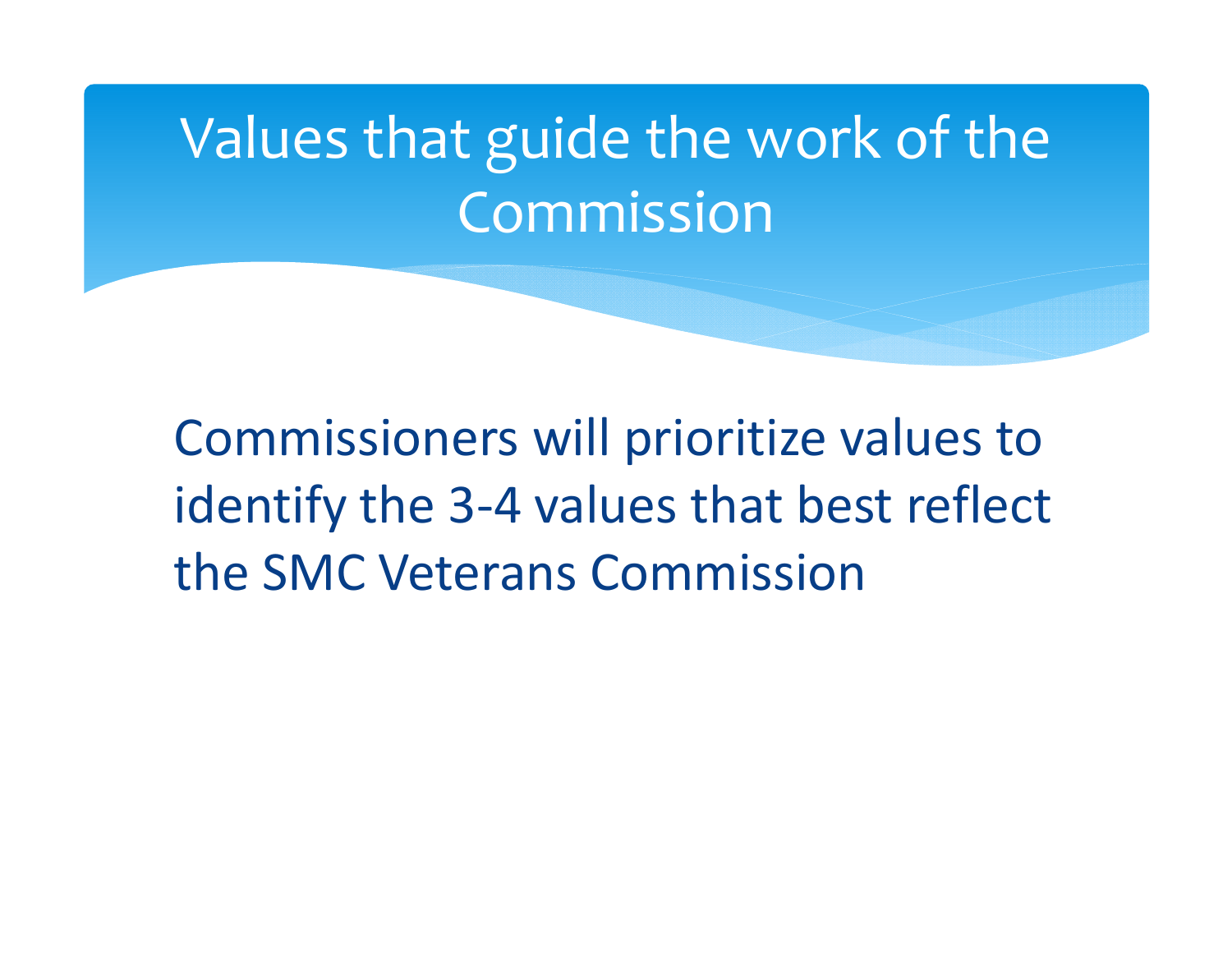## Values that guide the work of the Commission

Commissioners will prioritize values to identify the 3‐4 values that best reflect the SMC Veterans Commission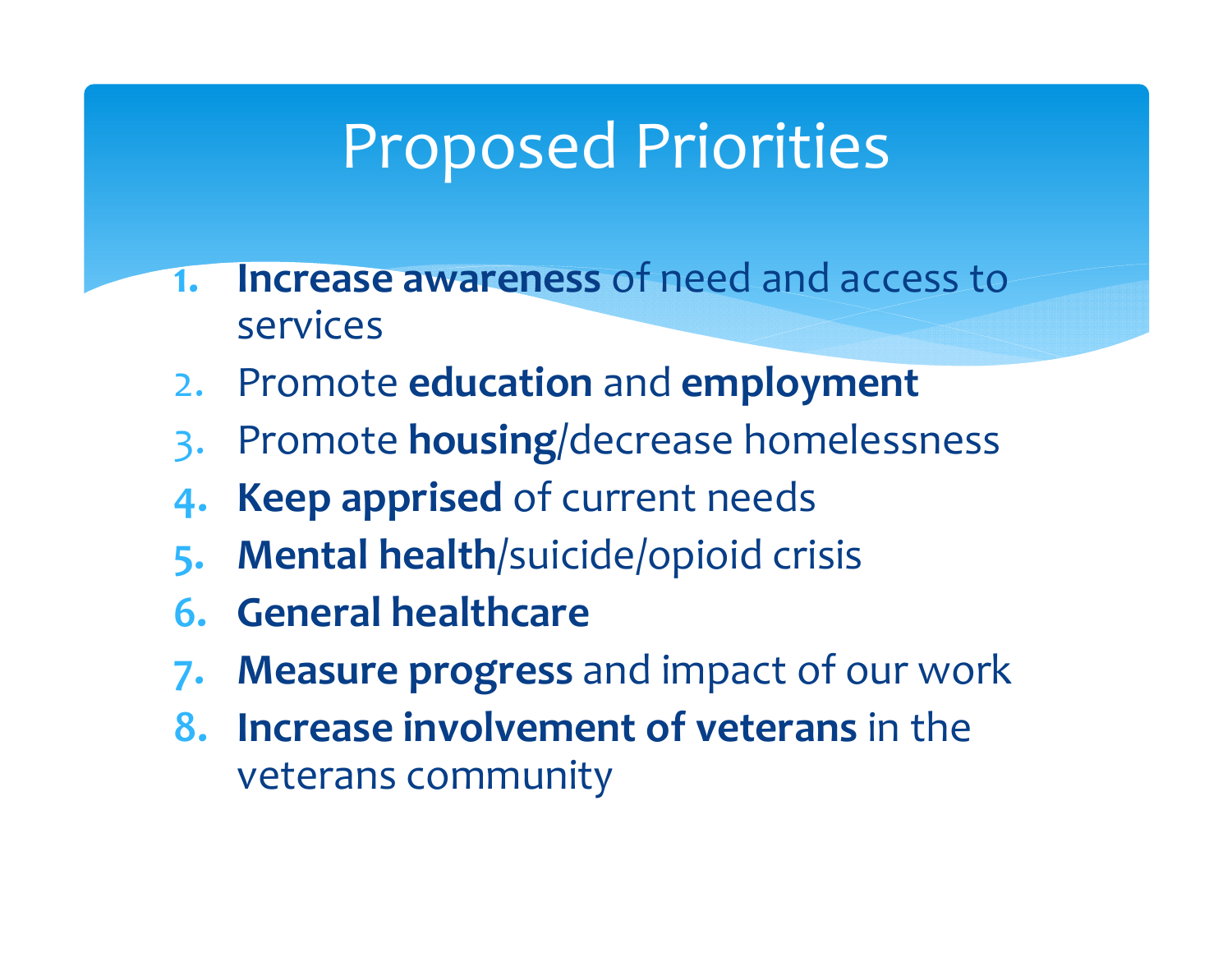## Proposed Priorities

- **1. Increase awareness** of need and access toservices
- 2.Promote **education** and **employment**
- 3. Promote **housing**/decrease homelessness
- **4. Keep apprised** of current needs
- **5. Mental health**/suicide/opioid crisis
- **6. General healthcare**
- **7. Measure progress** and impact of our work
- **8. Increase involvement of veterans** in the veterans community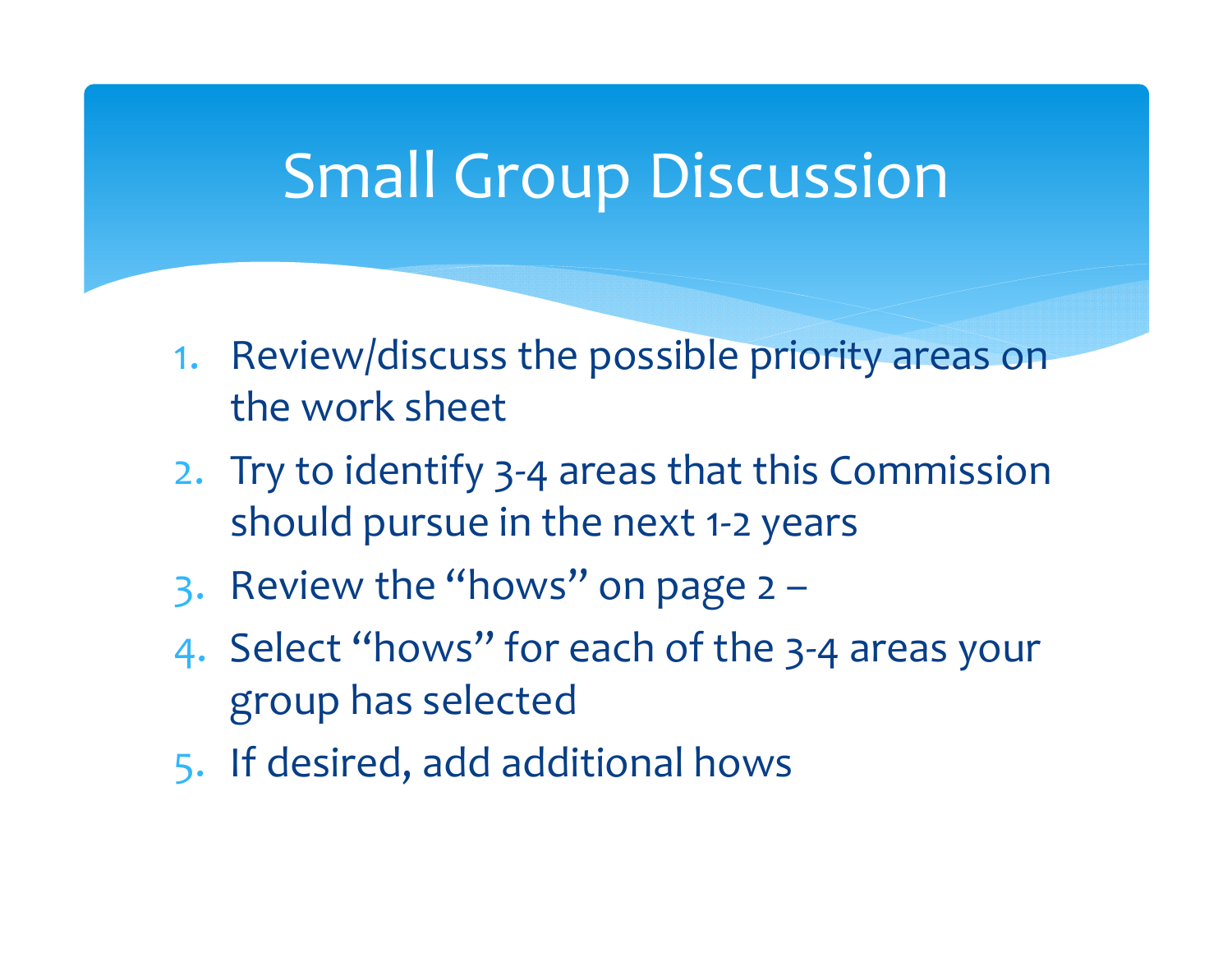### Small Group Discussion

- 1. Review/discuss the possible priority areas on the work sheet
- 2. Try to identify 3‐4 areas that this Commission should pursue in the next <sup>1</sup>‐<sup>2</sup> years
- 3. Review the "hows" on page  $2 -$
- 4. Select "hows" for each of the 3‐4 areas your group has selected
- 5. If desired, add additional hows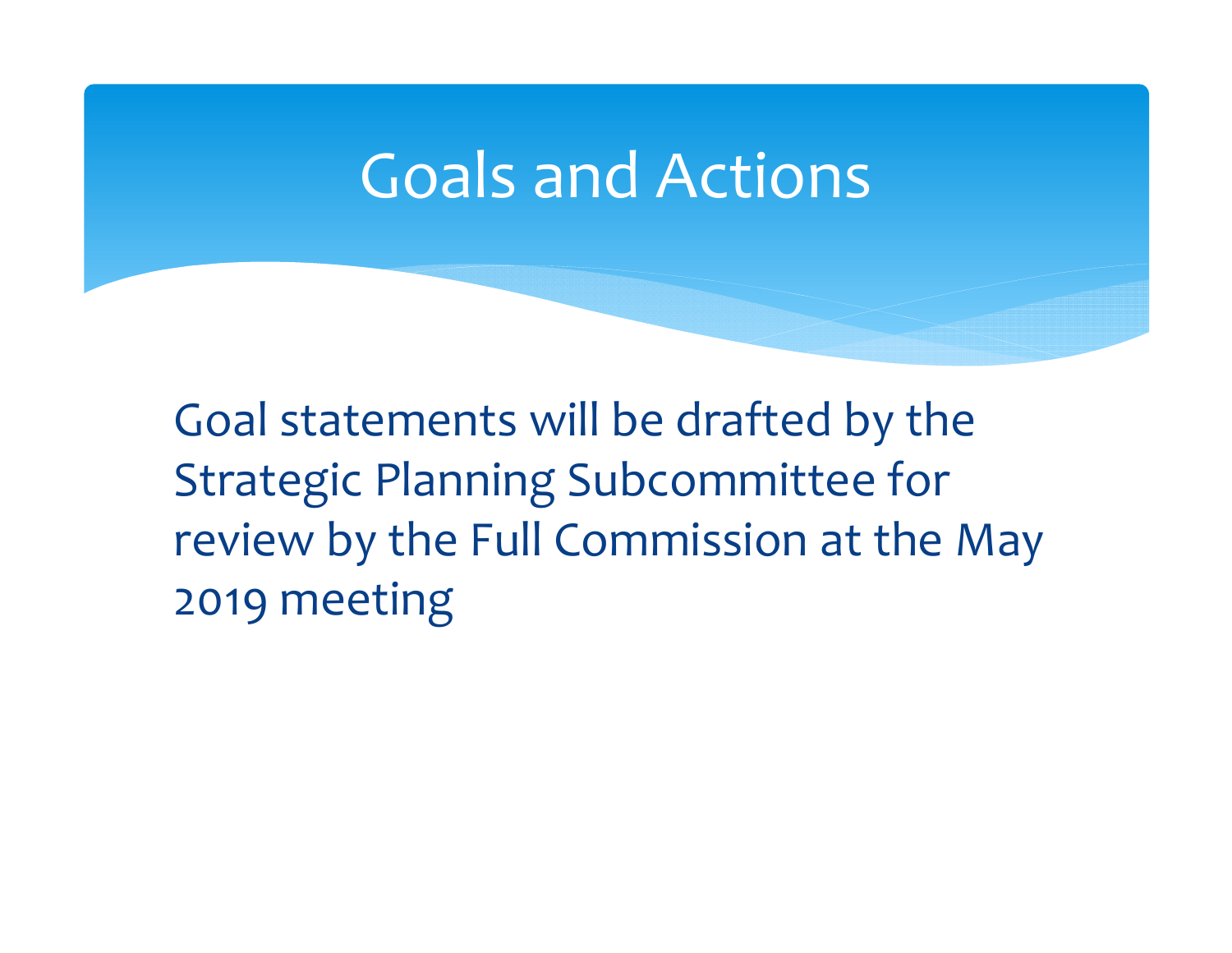### Goals and Actions

Goal statements will be drafted by the Strategic Planning Subcommittee for review by the Full Commission at the May 2019 meeting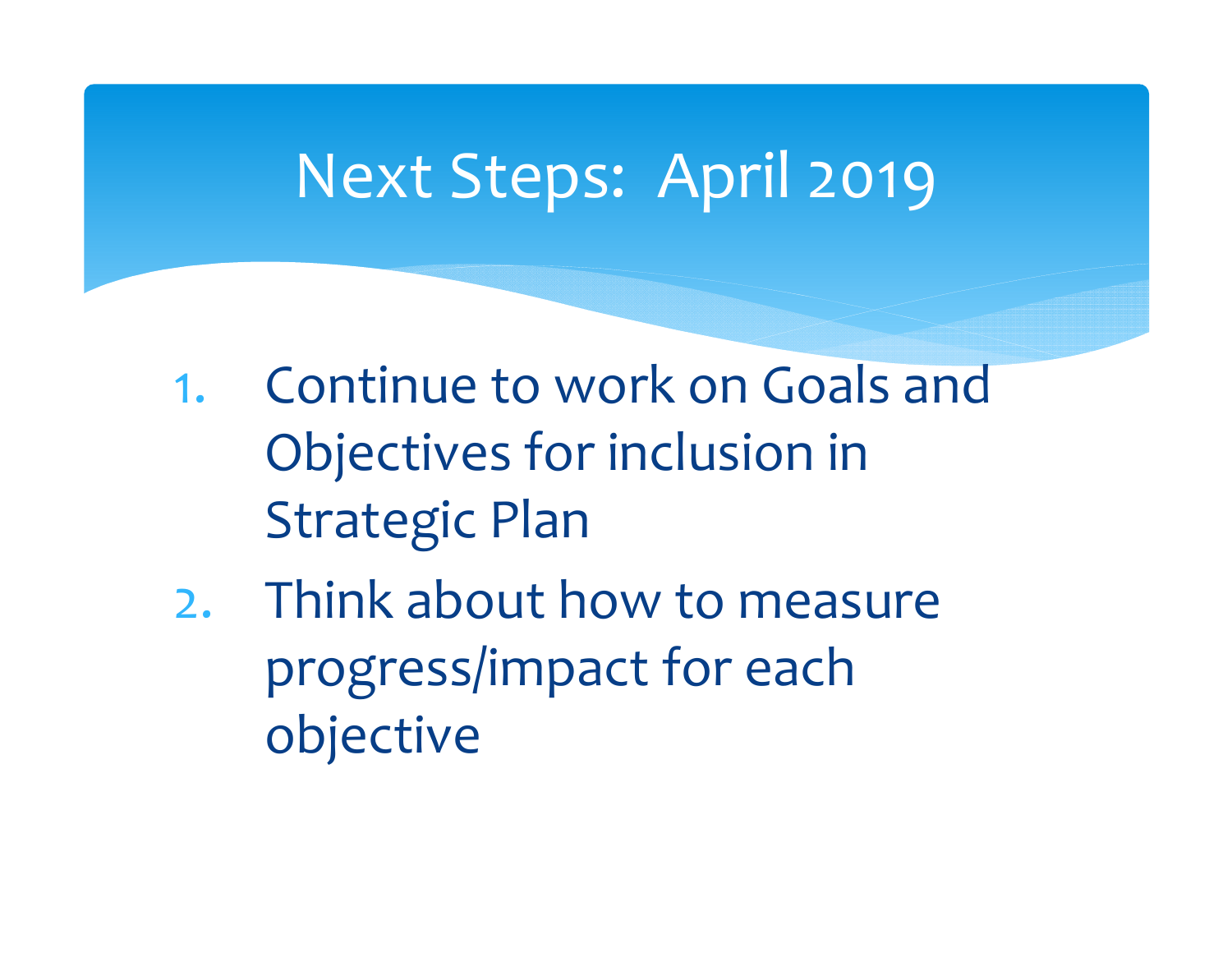### Next Steps: April 2019

- 1. Continue to work on Goals and Objectives for inclusion in Strategic Plan
- 2. Think about how to measure progress/impact for each objective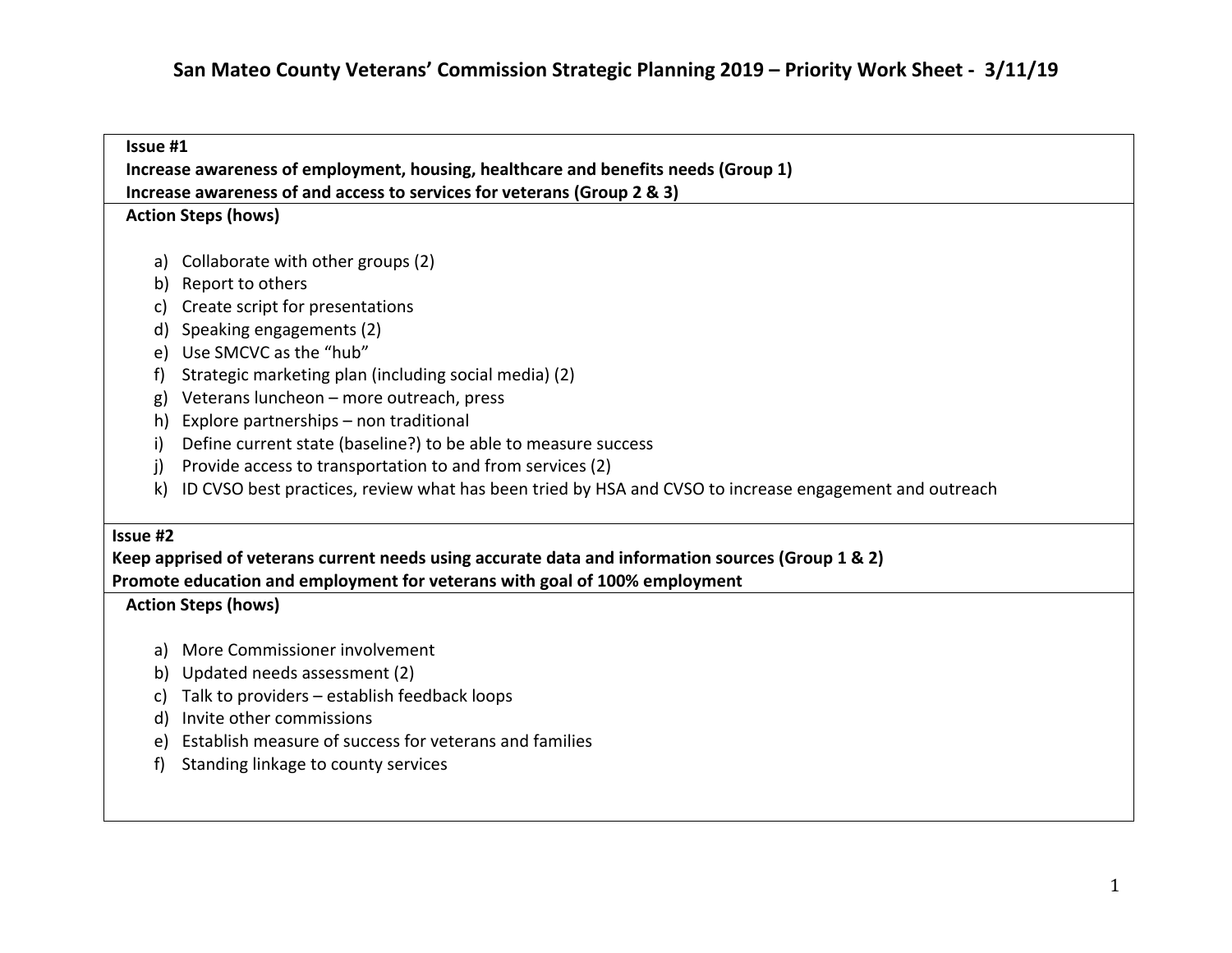| Issue #1                                                                                          |                                                                                                        |  |
|---------------------------------------------------------------------------------------------------|--------------------------------------------------------------------------------------------------------|--|
| Increase awareness of employment, housing, healthcare and benefits needs (Group 1)                |                                                                                                        |  |
|                                                                                                   | Increase awareness of and access to services for veterans (Group 2 & 3)                                |  |
|                                                                                                   | <b>Action Steps (hows)</b>                                                                             |  |
|                                                                                                   |                                                                                                        |  |
| a)                                                                                                | Collaborate with other groups (2)                                                                      |  |
| b)                                                                                                | Report to others                                                                                       |  |
|                                                                                                   | Create script for presentations                                                                        |  |
| d)                                                                                                | Speaking engagements (2)                                                                               |  |
| e)                                                                                                | Use SMCVC as the "hub"                                                                                 |  |
| f)                                                                                                | Strategic marketing plan (including social media) (2)                                                  |  |
| g)                                                                                                | Veterans luncheon - more outreach, press                                                               |  |
| h)                                                                                                | Explore partnerships - non traditional                                                                 |  |
| i)                                                                                                | Define current state (baseline?) to be able to measure success                                         |  |
| j)                                                                                                | Provide access to transportation to and from services (2)                                              |  |
| k)                                                                                                | ID CVSO best practices, review what has been tried by HSA and CVSO to increase engagement and outreach |  |
| Issue #2                                                                                          |                                                                                                        |  |
| Keep apprised of veterans current needs using accurate data and information sources (Group 1 & 2) |                                                                                                        |  |
| Promote education and employment for veterans with goal of 100% employment                        |                                                                                                        |  |
|                                                                                                   | <b>Action Steps (hows)</b>                                                                             |  |
| a)                                                                                                | More Commissioner involvement                                                                          |  |
| b)                                                                                                | Updated needs assessment (2)                                                                           |  |
| C)                                                                                                | Talk to providers - establish feedback loops                                                           |  |
| d)                                                                                                | Invite other commissions                                                                               |  |
| e)                                                                                                | Establish measure of success for veterans and families                                                 |  |
| f)                                                                                                | Standing linkage to county services                                                                    |  |
|                                                                                                   |                                                                                                        |  |
|                                                                                                   |                                                                                                        |  |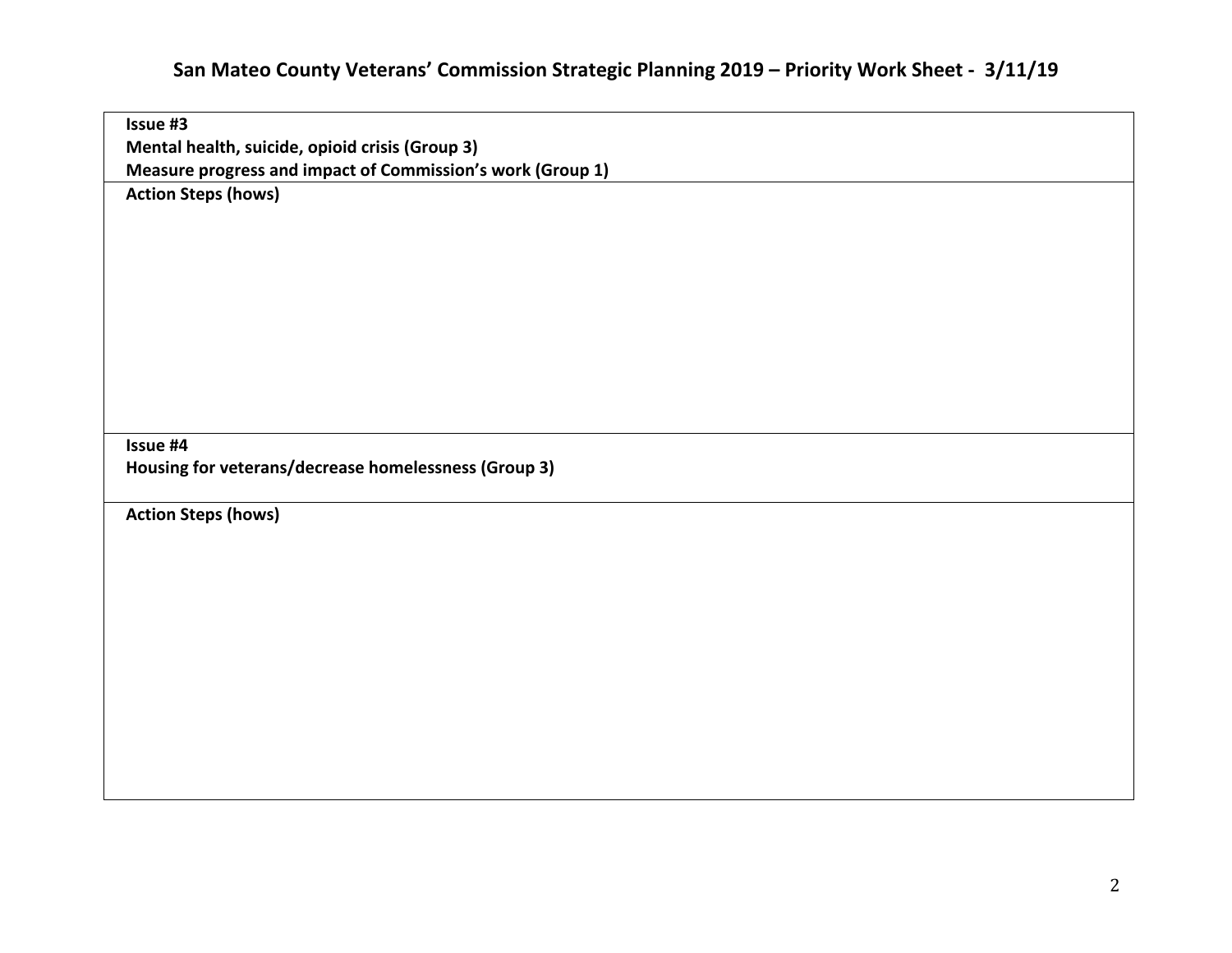#### **San Mateo County Veterans' Commission Strategic Planning 2019 – Priority Work Sheet ‐ 3/11/19**

| Issue #3                                                   |
|------------------------------------------------------------|
| Mental health, suicide, opioid crisis (Group 3)            |
| Measure progress and impact of Commission's work (Group 1) |
| <b>Action Steps (hows)</b>                                 |
|                                                            |
|                                                            |
|                                                            |
|                                                            |
|                                                            |
|                                                            |
|                                                            |
|                                                            |
|                                                            |
|                                                            |
|                                                            |
| Issue #4                                                   |
| Housing for veterans/decrease homelessness (Group 3)       |
|                                                            |
| <b>Action Steps (hows)</b>                                 |
|                                                            |
|                                                            |
|                                                            |
|                                                            |
|                                                            |
|                                                            |
|                                                            |
|                                                            |
|                                                            |
|                                                            |
|                                                            |
|                                                            |
|                                                            |
|                                                            |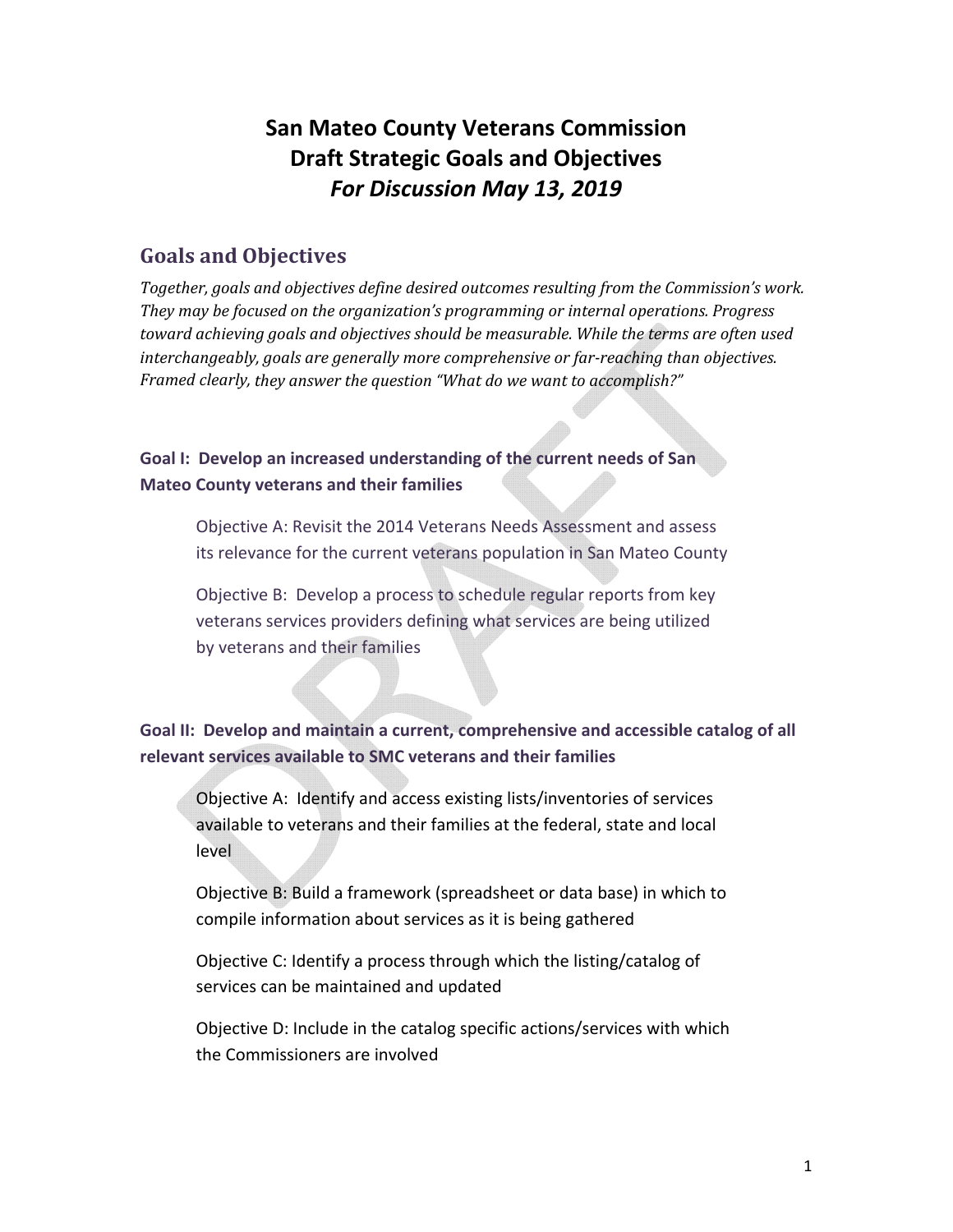### **San Mateo County Veterans Commission Draft Strategic Goals and Objectives** *For Discussion May 13, 2019*

#### **Goals and Objectives**

*Together, goals and objectives define desired outcomes resulting from the Commission's work. They may be focused on the organization's programming or internal operations. Progress toward achieving goals and objectives should be measurable. While the terms are often used interchangeably, goals are generally more comprehensive or far‐reaching than objectives. Framed clearly, they answer the question "What do we want to accomplish?"*

**Goal I: Develop an increased understanding of the current needs of San Mateo County veterans and their families**

Objective A: Revisit the 2014 Veterans Needs Assessment and assess its relevance for the current veterans population in San Mateo County

Objective B: Develop a process to schedule regular reports from key veterans services providers defining what services are being utilized by veterans and their families

**Goal II: Develop and maintain a current, comprehensive and accessible catalog of all relevant services available to SMC veterans and their families**

Objective A: Identify and access existing lists/inventories of services available to veterans and their families at the federal, state and local level

Objective B: Build a framework (spreadsheet or data base) in which to compile information about services as it is being gathered

Objective C: Identify a process through which the listing/catalog of services can be maintained and updated

Objective D: Include in the catalog specific actions/services with which the Commissioners are involved